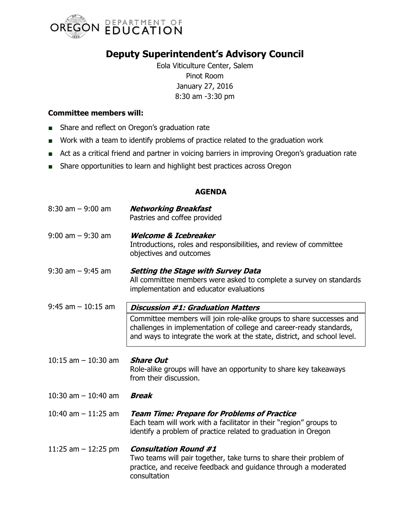

## **Deputy Superintendent's Advisory Council**

Eola Viticulture Center, Salem Pinot Room January 27, 2016 8:30 am -3:30 pm

## **Committee members will:**

- Share and reflect on Oregon's graduation rate
- Work with a team to identify problems of practice related to the graduation work
- Act as a critical friend and partner in voicing barriers in improving Oregon's graduation rate
- Share opportunities to learn and highlight best practices across Oregon

## **AGENDA**

| $8:30$ am $-9:00$ am  | <b>Networking Breakfast</b><br>Pastries and coffee provided                                                                                                                                                             |
|-----------------------|-------------------------------------------------------------------------------------------------------------------------------------------------------------------------------------------------------------------------|
| $9:00$ am $-9:30$ am  | <b>Welcome &amp; Icebreaker</b><br>Introductions, roles and responsibilities, and review of committee<br>objectives and outcomes                                                                                        |
| $9:30$ am $-9:45$ am  | <b>Setting the Stage with Survey Data</b><br>All committee members were asked to complete a survey on standards<br>implementation and educator evaluations                                                              |
| $9:45$ am $-10:15$ am | <b>Discussion #1: Graduation Matters</b>                                                                                                                                                                                |
|                       | Committee members will join role-alike groups to share successes and<br>challenges in implementation of college and career-ready standards,<br>and ways to integrate the work at the state, district, and school level. |
| 10:15 am $-$ 10:30 am | <b>Share Out</b><br>Role-alike groups will have an opportunity to share key takeaways<br>from their discussion.                                                                                                         |
| 10:30 am $-$ 10:40 am | <b>Break</b>                                                                                                                                                                                                            |
| 10:40 am $-$ 11:25 am | <b>Team Time: Prepare for Problems of Practice</b><br>Each team will work with a facilitator in their "region" groups to<br>identify a problem of practice related to graduation in Oregon                              |
| 11:25 am $-$ 12:25 pm | <b>Consultation Round #1</b><br>Two teams will pair together, take turns to share their problem of<br>practice, and receive feedback and guidance through a moderated<br>consultation                                   |